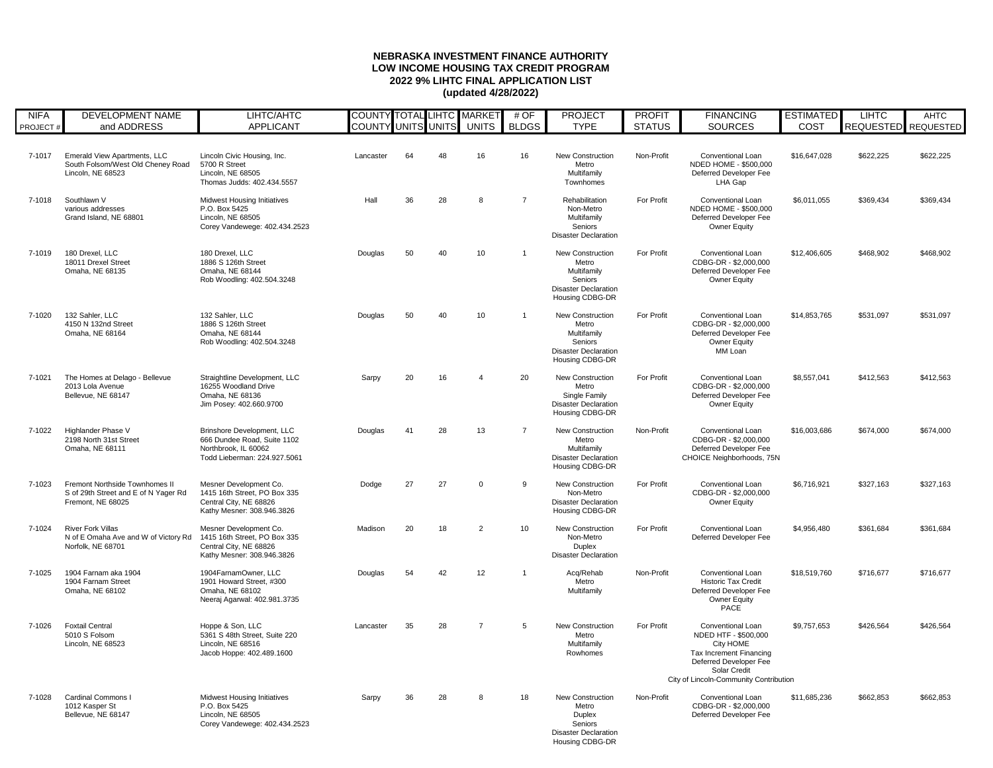## **NEBRASKA INVESTMENT FINANCE AUTHORITY LOW INCOME HOUSING TAX CREDIT PROGRAM 2022 9% LIHTC FINAL APPLICATION LIST (updated 4/28/2022)**

| <b>NIFA</b> | <b>DEVELOPMENT NAME</b>                                                                       | LIHTC/AHTC                                                                                                               | <b>COUNTY TOTAL LIHTC MARKET</b> |    |    |                | # OF           | <b>PROJECT</b>                                                                                               | <b>PROFIT</b> | <b>FINANCING</b>                                                                                                                                                                    | <b>ESTIMATED</b> | <b>LIHTC</b>        | <b>AHTC</b> |
|-------------|-----------------------------------------------------------------------------------------------|--------------------------------------------------------------------------------------------------------------------------|----------------------------------|----|----|----------------|----------------|--------------------------------------------------------------------------------------------------------------|---------------|-------------------------------------------------------------------------------------------------------------------------------------------------------------------------------------|------------------|---------------------|-------------|
| PROJECT#    | and ADDRESS                                                                                   | <b>APPLICANT</b>                                                                                                         | <b>COUNTY UNITS UNITS</b>        |    |    | <b>UNITS</b>   | <b>BLDGS</b>   | <b>TYPE</b>                                                                                                  | <b>STATUS</b> | <b>SOURCES</b>                                                                                                                                                                      | COST             | REQUESTED REQUESTED |             |
| 7-1017      | <b>Emerald View Apartments, LLC</b><br>South Folsom/West Old Cheney Road<br>Lincoln, NE 68523 | Lincoln Civic Housing, Inc.<br>5700 R Street<br>Lincoln, NE 68505<br>Thomas Judds: 402.434.5557                          | Lancaster                        | 64 | 48 | 16             | 16             | <b>New Construction</b><br>Metro<br>Multifamily<br>Townhomes                                                 | Non-Profit    | <b>Conventional Loan</b><br>NDED HOME - \$500,000<br>Deferred Developer Fee<br>LHA Gap                                                                                              | \$16,647,028     | \$622,225           | \$622,225   |
| 7-1018      | Southlawn V<br>various addresses<br>Grand Island, NE 68801                                    | <b>Midwest Housing Initiatives</b><br>P.O. Box 5425<br>Lincoln, NE 68505<br>Corey Vandewege: 402.434.2523                | Hall                             | 36 | 28 | 8              | $\overline{7}$ | Rehabilitation<br>Non-Metro<br>Multifamily<br>Seniors<br><b>Disaster Declaration</b>                         | For Profit    | <b>Conventional Loan</b><br>NDED HOME - \$500,000<br>Deferred Developer Fee<br><b>Owner Equity</b>                                                                                  | \$6,011,055      | \$369,434           | \$369,434   |
| 7-1019      | 180 Drexel, LLC<br>18011 Drexel Street<br>Omaha, NE 68135                                     | 180 Drexel, LLC<br>1886 S 126th Street<br>Omaha, NE 68144<br>Rob Woodling: 402.504.3248                                  | Douglas                          | 50 | 40 | 10             | -1             | <b>New Construction</b><br>Metro<br>Multifamily<br>Seniors<br><b>Disaster Declaration</b><br>Housing CDBG-DR | For Profit    | <b>Conventional Loan</b><br>CDBG-DR - \$2,000,000<br>Deferred Developer Fee<br><b>Owner Equity</b>                                                                                  | \$12,406,605     | \$468,902           | \$468,902   |
| 7-1020      | 132 Sahler, LLC<br>4150 N 132nd Street<br>Omaha, NE 68164                                     | 132 Sahler, LLC<br>1886 S 126th Street<br>Omaha, NE 68144<br>Rob Woodling: 402.504.3248                                  | Douglas                          | 50 | 40 | 10             |                | <b>New Construction</b><br>Metro<br>Multifamily<br>Seniors<br><b>Disaster Declaration</b><br>Housing CDBG-DR | For Profit    | <b>Conventional Loan</b><br>CDBG-DR - \$2,000,000<br>Deferred Developer Fee<br><b>Owner Equity</b><br>MM Loan                                                                       | \$14,853,765     | \$531,097           | \$531,097   |
| 7-1021      | The Homes at Delago - Bellevue<br>2013 Lola Avenue<br>Bellevue, NE 68147                      | Straightline Development, LLC<br>16255 Woodland Drive<br>Omaha, NE 68136<br>Jim Posey: 402.660.9700                      | Sarpy                            | 20 | 16 | $\overline{4}$ | 20             | <b>New Construction</b><br>Metro<br>Single Family<br><b>Disaster Declaration</b><br>Housing CDBG-DR          | For Profit    | <b>Conventional Loan</b><br>CDBG-DR - \$2,000,000<br>Deferred Developer Fee<br><b>Owner Equity</b>                                                                                  | \$8,557,041      | \$412,563           | \$412,563   |
| 7-1022      | Highlander Phase V<br>2198 North 31st Street<br>Omaha, NE 68111                               | <b>Brinshore Development, LLC</b><br>666 Dundee Road, Suite 1102<br>Northbrook, IL 60062<br>Todd Lieberman: 224.927.5061 | Douglas                          | 41 | 28 | 13             | $\overline{7}$ | <b>New Construction</b><br>Metro<br>Multifamily<br><b>Disaster Declaration</b><br>Housing CDBG-DR            | Non-Profit    | <b>Conventional Loan</b><br>CDBG-DR - \$2,000,000<br>Deferred Developer Fee<br>CHOICE Neighborhoods, 75N                                                                            | \$16,003,686     | \$674,000           | \$674,000   |
| 7-1023      | Fremont Northside Townhomes II<br>S of 29th Street and E of N Yager Rd<br>Fremont, NE 68025   | Mesner Development Co.<br>1415 16th Street, PO Box 335<br>Central City, NE 68826<br>Kathy Mesner: 308.946.3826           | Dodge                            | 27 | 27 | $\mathbf{0}$   | 9              | <b>New Construction</b><br>Non-Metro<br><b>Disaster Declaration</b><br>Housing CDBG-DR                       | For Profit    | <b>Conventional Loan</b><br>CDBG-DR - \$2,000,000<br><b>Owner Equity</b>                                                                                                            | \$6,716,921      | \$327,163           | \$327,163   |
| 7-1024      | <b>River Fork Villas</b><br>N of E Omaha Ave and W of Victory Rd<br>Norfolk, NE 68701         | Mesner Development Co.<br>1415 16th Street, PO Box 335<br>Central City, NE 68826<br>Kathy Mesner: 308.946.3826           | Madison                          | 20 | 18 | 2              | 10             | <b>New Construction</b><br>Non-Metro<br>Duplex<br><b>Disaster Declaration</b>                                | For Profit    | <b>Conventional Loan</b><br>Deferred Developer Fee                                                                                                                                  | \$4,956,480      | \$361,684           | \$361,684   |
| 7-1025      | 1904 Farnam aka 1904<br>1904 Farnam Street<br>Omaha, NE 68102                                 | 1904FarnamOwner, LLC<br>1901 Howard Street, #300<br>Omaha, NE 68102<br>Neeraj Agarwal: 402.981.3735                      | Douglas                          | 54 | 42 | 12             | $\mathbf 1$    | Acq/Rehab<br>Metro<br>Multifamily                                                                            | Non-Profit    | <b>Conventional Loan</b><br><b>Historic Tax Credit</b><br>Deferred Developer Fee<br><b>Owner Equity</b><br>PACE                                                                     | \$18,519,760     | \$716,677           | \$716,677   |
| 7-1026      | <b>Foxtail Central</b><br>5010 S Folsom<br>Lincoln, NE 68523                                  | Hoppe & Son, LLC<br>5361 S 48th Street, Suite 220<br>Lincoln, NE 68516<br>Jacob Hoppe: 402.489.1600                      | Lancaster                        | 35 | 28 | $\overline{7}$ | 5              | <b>New Construction</b><br>Metro<br>Multifamily<br>Rowhomes                                                  | For Profit    | <b>Conventional Loan</b><br>NDED HTF - \$500,000<br>City HOME<br>Tax Increment Financing<br>Deferred Developer Fee<br><b>Solar Credit</b><br>City of Lincoln-Community Contribution | \$9,757,653      | \$426,564           | \$426,564   |
| 7-1028      | <b>Cardinal Commons I</b><br>1012 Kasper St<br>Bellevue, NE 68147                             | <b>Midwest Housing Initiatives</b><br>P.O. Box 5425<br>Lincoln, NE 68505<br>Corey Vandewege: 402.434.2523                | Sarpy                            | 36 | 28 | 8              | 18             | <b>New Construction</b><br>Metro<br>Duplex<br>Seniors<br><b>Disaster Declaration</b><br>Housing CDBG-DR      | Non-Profit    | <b>Conventional Loan</b><br>CDBG-DR - \$2,000,000<br>Deferred Developer Fee                                                                                                         | \$11,685,236     | \$662,853           | \$662,853   |